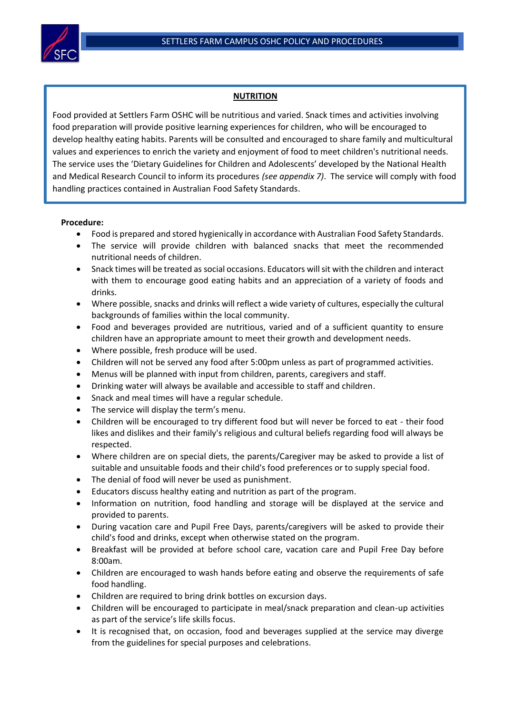

## **NUTRITION**

Food provided at Settlers Farm OSHC will be nutritious and varied. Snack times and activities involving food preparation will provide positive learning experiences for children, who will be encouraged to develop healthy eating habits. Parents will be consulted and encouraged to share family and multicultural values and experiences to enrich the variety and enjoyment of food to meet children's nutritional needs. The service uses the 'Dietary Guidelines for Children and Adolescents' developed by the National Health and Medical Research Council to inform its procedures *(see appendix 7)*. The service will comply with food handling practices contained in Australian Food Safety Standards.

## **Procedure:**

- Food is prepared and stored hygienically in accordance with Australian Food Safety Standards.
- The service will provide children with balanced snacks that meet the recommended nutritional needs of children.
- Snack times will be treated as social occasions. Educators will sit with the children and interact with them to encourage good eating habits and an appreciation of a variety of foods and drinks.
- Where possible, snacks and drinks will reflect a wide variety of cultures, especially the cultural backgrounds of families within the local community.
- Food and beverages provided are nutritious, varied and of a sufficient quantity to ensure children have an appropriate amount to meet their growth and development needs.
- Where possible, fresh produce will be used.
- Children will not be served any food after 5:00pm unless as part of programmed activities.
- Menus will be planned with input from children, parents, caregivers and staff.
- Drinking water will always be available and accessible to staff and children.
- Snack and meal times will have a regular schedule.
- The service will display the term's menu.
- Children will be encouraged to try different food but will never be forced to eat their food likes and dislikes and their family's religious and cultural beliefs regarding food will always be respected.
- Where children are on special diets, the parents/Caregiver may be asked to provide a list of suitable and unsuitable foods and their child's food preferences or to supply special food.
- The denial of food will never be used as punishment.
- Educators discuss healthy eating and nutrition as part of the program.
- Information on nutrition, food handling and storage will be displayed at the service and provided to parents.
- During vacation care and Pupil Free Days, parents/caregivers will be asked to provide their child's food and drinks, except when otherwise stated on the program.
- Breakfast will be provided at before school care, vacation care and Pupil Free Day before 8:00am.
- Children are encouraged to wash hands before eating and observe the requirements of safe food handling.
- Children are required to bring drink bottles on excursion days.
- Children will be encouraged to participate in meal/snack preparation and clean-up activities as part of the service's life skills focus.
- It is recognised that, on occasion, food and beverages supplied at the service may diverge from the guidelines for special purposes and celebrations.